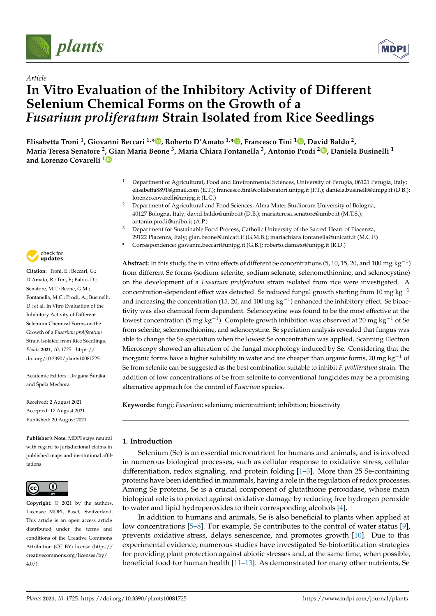



# *Article* **In Vitro Evaluation of the Inhibitory Activity of Different Selenium Chemical Forms on the Growth of a** *Fusarium proliferatum* **Strain Isolated from Rice Seedlings**

**Elisabetta Troni 1, Giovanni Beccari 1,\* , Roberto D'Amato 1,\* , Francesco Tini <sup>1</sup> , David Baldo 2, Maria Teresa Senatore 2, Gian Maria Beone 3, Maria Chiara Fontanella 3, Antonio Prodi <sup>2</sup> , Daniela Businelli <sup>1</sup> and Lorenzo Covarelli <sup>1</sup>**

- <sup>1</sup> Department of Agricultural, Food and Environmental Sciences, University of Perugia, 06121 Perugia, Italy; elisabetta8891@gmail.com (E.T.); francesco.tini@collaboratori.unipg.it (F.T.); daniela.businelli@unipg.it (D.B.); lorenzo.covarelli@unipg.it (L.C.)
- <sup>2</sup> Department of Agricultural and Food Sciences, Alma Mater Studiorum University of Bologna, 40127 Bologna, Italy; david.baldo@unibo.it (D.B.); mariateresa.senatore@unibo.it (M.T.S.); antonio.prodi@unibo.it (A.P.)
- <sup>3</sup> Department for Sustainable Food Process, Catholic University of the Sacred Heart of Piacenza, 29122 Piacenza, Italy; gian.beone@unicatt.it (G.M.B.); mariachiara.fontanella@unicatt.it (M.C.F.)
- **\*** Correspondence: giovanni.beccari@unipg.it (G.B.); roberto.damato@unipg.it (R.D.)

**Abstract:** In this study, the in vitro effects of different Se concentrations (5, 10, 15, 20, and 100 mg  $kg^{-1}$ ) from different Se forms (sodium selenite, sodium selenate, selenomethionine, and selenocystine) on the development of a *Fusarium proliferatum* strain isolated from rice were investigated. A concentration-dependent effect was detected. Se reduced fungal growth starting from 10 mg  $kg^{-1}$ and increasing the concentration (15, 20, and 100 mg  $kg^{-1}$ ) enhanced the inhibitory effect. Se bioactivity was also chemical form dependent. Selenocystine was found to be the most effective at the lowest concentration (5 mg kg<sup>-1</sup>). Complete growth inhibition was observed at 20 mg kg<sup>-1</sup> of Se from selenite, selenomethionine, and selenocystine. Se speciation analysis revealed that fungus was able to change the Se speciation when the lowest Se concentration was applied. Scanning Electron Microscopy showed an alteration of the fungal morphology induced by Se. Considering that the inorganic forms have a higher solubility in water and are cheaper than organic forms, 20 mg kg<sup>-1</sup> of Se from selenite can be suggested as the best combination suitable to inhibit *F. proliferatum* strain. The addition of low concentrations of Se from selenite to conventional fungicides may be a promising alternative approach for the control of *Fusarium* species.

**Keywords:** fungi; *Fusarium*; selenium; micronutrient; inhibition; bioactivity

# **1. Introduction**

Selenium (Se) is an essential micronutrient for humans and animals, and is involved in numerous biological processes, such as cellular response to oxidative stress, cellular differentiation, redox signaling, and protein folding  $[1-3]$ . More than 25 Se-containing proteins have been identified in mammals, having a role in the regulation of redox processes. Among Se proteins, Se is a crucial component of glutathione peroxidase, whose main biological role is to protect against oxidative damage by reducing free hydrogen peroxide to water and lipid hydroperoxides to their corresponding alcohols [4].

In addition to humans and animals, Se is also beneficial to plants when applied at low concentrations [5–8]. For example, Se contributes to the control of water status [9], prevents oxidative stress, delays senescence, and promotes growth [10]. Due to this experimental evidence, numerous studies have investigated Se-biofortification strategies for providing plant protection against abiotic stresses and, at the same time, when possible, beneficial food for human health [11–13]. As demonstrated for many other nutrients, Se



**Citation:** Troni, E.; Beccari, G.; D'Amato, R.; Tini, F.; Baldo, D.; Senatore, M.T.; Beone, G.M.; Fontanella, M.C.; Prodi, A.; Businelli, D.; et al. In Vitro Evaluation of the Inhibitory Activity of Different Selenium Chemical Forms on the Growth of a *Fusarium proliferatum* Strain Isolated from Rice Seedlings. *Plants* **2021**, *10*, 1725. https:// doi.org/10.3390/plants10081725

Academic Editors: Dragana Šunjka and Špela Mechora

Received: 2 August 2021 Accepted: 17 August 2021 Published: 20 August 2021

**Publisher's Note:** MDPI stays neutral with regard to jurisdictional claims in published maps and institutional affiliations.



**Copyright:** © 2021 by the authors. Licensee MDPI, Basel, Switzerland. This article is an open access article distributed under the terms and conditions of the Creative Commons Attribution (CC BY) license (https:// creativecommons.org/licenses/by/  $4.0/$ ).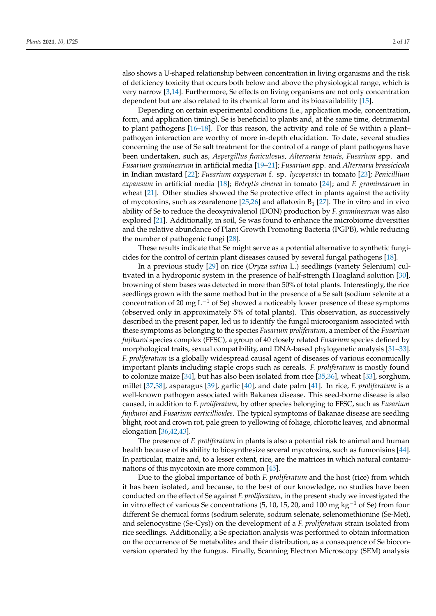also shows a U-shaped relationship between concentration in living organisms and the risk of deficiency toxicity that occurs both below and above the physiological range, which is very narrow [3,14]. Furthermore, Se effects on living organisms are not only concentration dependent but are also related to its chemical form and its bioavailability [15].

Depending on certain experimental conditions (i.e., application mode, concentration, form, and application timing), Se is beneficial to plants and, at the same time, detrimental to plant pathogens [16–18]. For this reason, the activity and role of Se within a plant– pathogen interaction are worthy of more in-depth elucidation. To date, several studies concerning the use of Se salt treatment for the control of a range of plant pathogens have been undertaken, such as, *Aspergillus funiculosus*, *Alternaria tenuis*, *Fusarium* spp. and *Fusarium graminearum* in artificial media [19–21]; *Fusarium* spp. and *Alternaria brassicicola* in Indian mustard [22]; *Fusarium oxysporum* f. sp. *lycopersici* in tomato [23]; *Penicillium expansum* in artificial media [18]; *Botrytis cinerea* in tomato [24]; and *F. graminearum* in wheat [21]. Other studies showed the Se protective effect in plants against the activity of mycotoxins, such as zearalenone [25,26] and aflatoxin  $B_1$  [27]. The in vitro and in vivo ability of Se to reduce the deoxynivalenol (DON) production by *F. graminearum* was also explored [21]. Additionally, in soil, Se was found to enhance the microbiome diversities and the relative abundance of Plant Growth Promoting Bacteria (PGPB), while reducing the number of pathogenic fungi [28].

These results indicate that Se might serve as a potential alternative to synthetic fungicides for the control of certain plant diseases caused by several fungal pathogens [18].

In a previous study [29] on rice (*Oryza sativa* L.) seedlings (variety Selenium) cultivated in a hydroponic system in the presence of half-strength Hoagland solution [30], browning of stem bases was detected in more than 50% of total plants. Interestingly, the rice seedlings grown with the same method but in the presence of a Se salt (sodium selenite at a concentration of 20 mg  $L^{-1}$  of Se) showed a noticeably lower presence of these symptoms (observed only in approximately 5% of total plants). This observation, as successively described in the present paper, led us to identify the fungal microorganism associated with these symptoms as belonging to the species *Fusarium proliferatum*, a member of the *Fusarium fujikuroi* species complex (FFSC), a group of 40 closely related *Fusarium* species defined by morphological traits, sexual compatibility, and DNA-based phylogenetic analysis [31–33]. *F. proliferatum* is a globally widespread causal agent of diseases of various economically important plants including staple crops such as cereals. *F. proliferatum* is mostly found to colonize maize [34], but has also been isolated from rice [35,36], wheat [33], sorghum, millet [37,38], asparagus [39], garlic [40], and date palm [41]. In rice, *F. proliferatum* is a well-known pathogen associated with Bakanea disease. This seed-borne disease is also caused, in addition to *F. proliferatum*, by other species belonging to FFSC, such as *Fusarium fujikuroi* and *Fusarium verticillioides*. The typical symptoms of Bakanae disease are seedling blight, root and crown rot, pale green to yellowing of foliage, chlorotic leaves, and abnormal elongation [36,42,43].

The presence of *F. proliferatum* in plants is also a potential risk to animal and human health because of its ability to biosynthesize several mycotoxins, such as fumonisins [44]. In particular, maize and, to a lesser extent, rice, are the matrices in which natural contaminations of this mycotoxin are more common [45].

Due to the global importance of both *F. proliferatum* and the host (rice) from which it has been isolated, and because, to the best of our knowledge, no studies have been conducted on the effect of Se against *F. proliferatum*, in the present study we investigated the in vitro effect of various Se concentrations  $(5, 10, 15, 20,$  and  $100 \text{ mg kg}^{-1}$  of Se) from four different Se chemical forms (sodium selenite, sodium selenate, selenomethionine (Se-Met), and selenocystine (Se-Cys)) on the development of a *F. proliferatum* strain isolated from rice seedlings. Additionally, a Se speciation analysis was performed to obtain information on the occurrence of Se metabolites and their distribution, as a consequence of Se bioconversion operated by the fungus. Finally, Scanning Electron Microscopy (SEM) analysis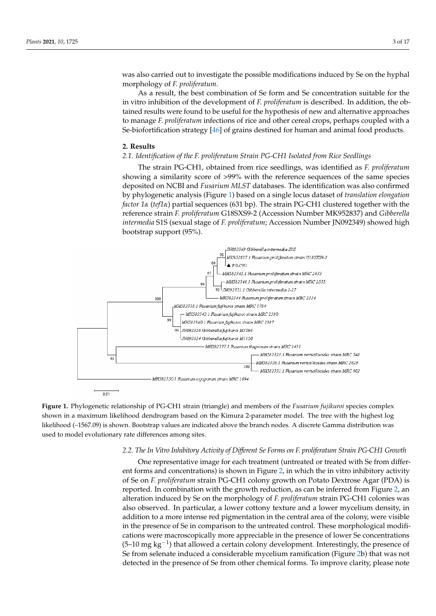was also carried out to investigate the possible modifications induced by Se on the hyphal morphology of *F. proliferatum*.

As a result, the best combination of Se form and Se concentration suitable for the in vitro inhibition of the development of *F. proliferatum* is described. In addition, the obtained results were found to be useful for the hypothesis of new and alternative approaches to manage *F. proliferatum* infections of rice and other cereal crops, perhaps coupled with a Se-biofortification strategy [46] of grains destined for human and animal food products.

#### **2. Results**

# *2.1. Identification of the F. proliferatum Strain PG-CH1 Isolated from Rice Seedlings*

The strain PG-CH1, obtained from rice seedlings, was identified as *F. proliferatum* showing a similarity score of >99% with the reference sequences of the same species deposited on NCBI and *Fusarium MLST* databases. The identification was also confirmed by phylogenetic analysis (Figure 1) based on a single locus dataset of *translation elongation factor 1a* (*tef1a*) partial sequences (631 bp). The strain PG-CH1 clustered together with the reference strain *F. proliferatum* G18SXS9-2 (Accession Number MK952837) and *Gibberella intermedia* S1S (sexual stage of *F. proliferatum*; Accession Number JN092349) showed high bootstrap support (95%).



**Figure 1.** Phylogenetic relationship of PG-CH1 strain (triangle) and members of the *Fusarium fujikuroi* species complex shown in a maximum likelihood dendrogram based on the Kimura 2-parameter model. The tree with the highest log likelihood (–1567.09) is shown. Bootstrap values are indicated above the branch nodes. A discrete Gamma distribution was used to model evolutionary rate differences among sites.

## *2.2. The In Vitro Inhibitory Activity of Different Se Forms on F. proliferatum Strain PG-CH1 Growth*

One representative image for each treatment (untreated or treated with Se from different forms and concentrations) is shown in Figure 2, in which the in vitro inhibitory activity of Se on *F. proliferatum* strain PG-CH1 colony growth on Potato Dextrose Agar (PDA) is reported. In combination with the growth reduction, as can be inferred from Figure 2, an alteration induced by Se on the morphology of *F. proliferatum* strain PG-CH1 colonies was also observed. In particular, a lower cottony texture and a lower mycelium density, in addition to a more intense red pigmentation in the central area of the colony, were visible in the presence of Se in comparison to the untreated control. These morphological modifications were macroscopically more appreciable in the presence of lower Se concentrations  $(5-10 \text{ mg kg}^{-1})$  that allowed a certain colony development. Interestingly, the presence of Se from selenate induced a considerable mycelium ramification (Figure 2b) that was not detected in the presence of Se from other chemical forms. To improve clarity, please note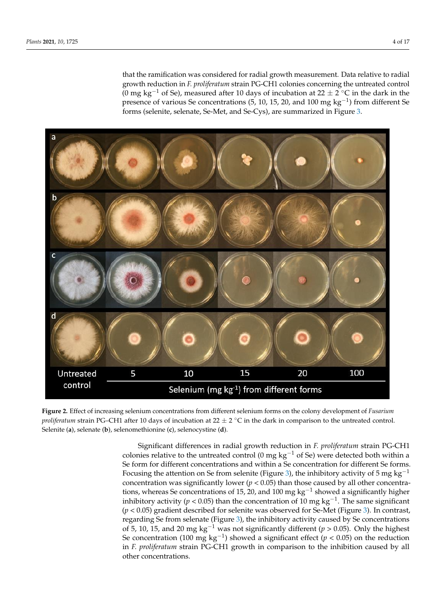that the ramification was considered for radial growth measurement. Data relative to radial growth reduction in *F. proliferatum* strain PG-CH1 colonies concerning the untreated control (0 mg kg<sup>-1</sup> of Se), measured after 10 days of incubation at  $22 \pm 2$  °C in the dark in the presence of various Se concentrations (5, 10, 15, 20, and 100 mg  $kg^{-1}$ ) from different Se forms (selenite, selenate, Se-Met, and Se-Cys), are summarized in Figure 3.



**Figure 2.** Effect of increasing selenium concentrations from different selenium forms on the colony development of *Fusarium proliferatum* strain PG–CH1 after 10 days of incubation at 22  $\pm$  2 °C in the dark in comparison to the untreated control. Selenite (**a**), selenate (**b**), selenomethionine (**c**), selenocystine (**d**).

Significant differences in radial growth reduction in *F. proliferatum* strain PG-CH1 colonies relative to the untreated control (0 mg  $kg^{-1}$  of Se) were detected both within a Se form for different concentrations and within a Se concentration for different Se forms. Focusing the attention on Se from selenite (Figure 3), the inhibitory activity of 5 mg kg<sup>-1</sup> concentration was significantly lower ( $p < 0.05$ ) than those caused by all other concentrations, whereas Se concentrations of 15, 20, and 100 mg  $kg^{-1}$  showed a significantly higher inhibitory activity ( $p < 0.05$ ) than the concentration of 10 mg kg<sup>-1</sup>. The same significant (*p* < 0.05) gradient described for selenite was observed for Se-Met (Figure 3). In contrast, regarding Se from selenate (Figure 3), the inhibitory activity caused by Se concentrations of 5, 10, 15, and 20 mg kg<sup>-1</sup> was not significantly different ( $p > 0.05$ ). Only the highest Se concentration (100 mg kg<sup>-1</sup>) showed a significant effect ( $p < 0.05$ ) on the reduction in *F. proliferatum* strain PG-CH1 growth in comparison to the inhibition caused by all other concentrations.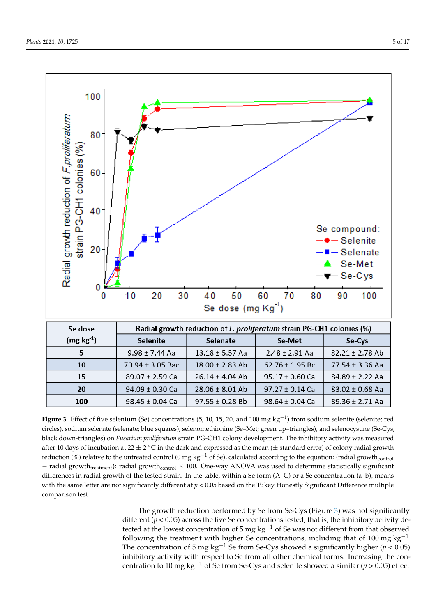

**Figure 3.** Effect of five selenium (Se) concentrations (5, 10, 15, 20, and 100 mg  $kg^{-1}$ ) from sodium selenite (selenite; red circles), sodium selenate (selenate; blue squares), selenomethionine (Se–Met; green up–triangles), and selenocystine (Se-Cys; black down-triangles) on *Fusarium proliferatum* strain PG-CH1 colony development. The inhibitory activity was measured after 10 days of incubation at 22  $\pm$  2 °C in the dark and expressed as the mean ( $\pm$  standard error) of colony radial growth reduction (%) relative to the untreated control (0 mg kg<sup>-1</sup> of Se), calculated according to the equation: (radial growth<sub>control</sub> - radial growth<sub>treatment</sub>): radial growth<sub>control</sub>  $\times$  100. One-way ANOVA was used to determine statistically significant differences in radial growth of the tested strain. In the table, within a Se form (A–C) or a Se concentration (a–b), means with the same letter are not significantly different at  $p < 0.05$  based on the Tukey Honestly Significant Difference multiple comparison test.

The growth reduction performed by Se from Se-Cys (Figure 3) was not significantly different ( $p < 0.05$ ) across the five Se concentrations tested; that is, the inhibitory activity detected at the lowest concentration of 5 mg  $kg^{-1}$  of Se was not different from that observed following the treatment with higher Se concentrations, including that of 100 mg  $kg^{-1}$ . The concentration of 5 mg kg<sup>-1</sup> Se from Se-Cys showed a significantly higher ( $p < 0.05$ ) inhibitory activity with respect to Se from all other chemical forms. Increasing the concentration to 10 mg kg<sup>-1</sup> of Se from Se-Cys and selenite showed a similar ( $p > 0.05$ ) effect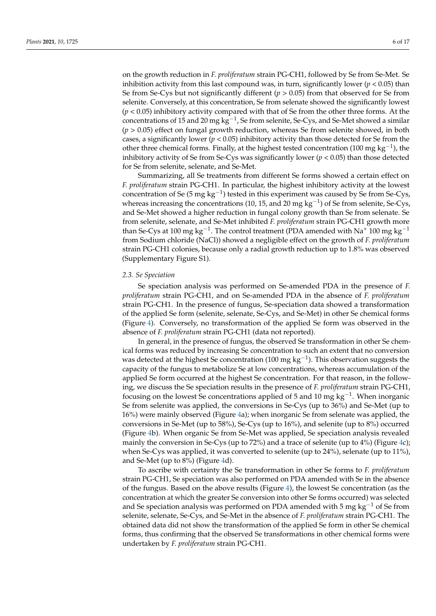on the growth reduction in *F. proliferatum* strain PG-CH1, followed by Se from Se-Met. Se inhibition activity from this last compound was, in turn, significantly lower ( $p < 0.05$ ) than Se from Se-Cys but not significantly different  $(p > 0.05)$  from that observed for Se from selenite. Conversely, at this concentration, Se from selenate showed the significantly lowest (*p* < 0.05) inhibitory activity compared with that of Se from the other three forms. At the concentrations of 15 and 20 mg kg<sup>-1</sup>, Se from selenite, Se-Cys, and Se-Met showed a similar (*p* > 0.05) effect on fungal growth reduction, whereas Se from selenite showed, in both cases, a significantly lower  $(p < 0.05)$  inhibitory activity than those detected for Se from the other three chemical forms. Finally, at the highest tested concentration (100 mg  $kg^{-1}$ ), the inhibitory activity of Se from Se-Cys was significantly lower ( $p < 0.05$ ) than those detected for Se from selenite, selenate, and Se-Met.

Summarizing, all Se treatments from different Se forms showed a certain effect on *F. proliferatum* strain PG-CH1. In particular, the highest inhibitory activity at the lowest concentration of Se (5 mg kg<sup>-1</sup>) tested in this experiment was caused by Se from Se-Cys, whereas increasing the concentrations (10, 15, and 20 mg  $kg^{-1}$ ) of Se from selenite, Se-Cys, and Se-Met showed a higher reduction in fungal colony growth than Se from selenate. Se from selenite, selenate, and Se-Met inhibited *F. proliferatum* strain PG-CH1 growth more than Se-Cys at 100 mg  $kg^{-1}$ . The control treatment (PDA amended with Na<sup>+</sup> 100 mg kg<sup>-1</sup> from Sodium chloride (NaCl)) showed a negligible effect on the growth of *F. proliferatum* strain PG-CH1 colonies, because only a radial growth reduction up to 1.8% was observed (Supplementary Figure S1).

## *2.3. Se Speciation*

Se speciation analysis was performed on Se-amended PDA in the presence of *F. proliferatum* strain PG-CH1, and on Se-amended PDA in the absence of *F. proliferatum* strain PG-CH1. In the presence of fungus, Se-speciation data showed a transformation of the applied Se form (selenite, selenate, Se-Cys, and Se-Met) in other Se chemical forms (Figure 4). Conversely, no transformation of the applied Se form was observed in the absence of *F. proliferatum* strain PG-CH1 (data not reported).

In general, in the presence of fungus, the observed Se transformation in other Se chemical forms was reduced by increasing Se concentration to such an extent that no conversion was detected at the highest Se concentration (100 mg  $kg^{-1}$ ). This observation suggests the capacity of the fungus to metabolize Se at low concentrations, whereas accumulation of the applied Se form occurred at the highest Se concentration. For that reason, in the following, we discuss the Se speciation results in the presence of *F. proliferatum* strain PG-CH1, focusing on the lowest Se concentrations applied of 5 and 10 mg  $kg^{-1}$ . When inorganic Se from selenite was applied, the conversions in Se-Cys (up to 36%) and Se-Met (up to 16%) were mainly observed (Figure 4a); when inorganic Se from selenate was applied, the conversions in Se-Met (up to 58%), Se-Cys (up to 16%), and selenite (up to 8%) occurred (Figure 4b). When organic Se from Se-Met was applied, Se speciation analysis revealed mainly the conversion in Se-Cys (up to 72%) and a trace of selenite (up to  $4\%$ ) (Figure 4c); when Se-Cys was applied, it was converted to selenite (up to 24%), selenate (up to 11%), and Se-Met (up to 8%) (Figure 4d).

To ascribe with certainty the Se transformation in other Se forms to *F. proliferatum* strain PG-CH1, Se speciation was also performed on PDA amended with Se in the absence of the fungus. Based on the above results (Figure 4), the lowest Se concentration (as the concentration at which the greater Se conversion into other Se forms occurred) was selected and Se speciation analysis was performed on PDA amended with 5 mg kg<sup>-1</sup> of Se from selenite, selenate, Se-Cys, and Se-Met in the absence of *F. proliferatum* strain PG-CH1. The obtained data did not show the transformation of the applied Se form in other Se chemical forms, thus confirming that the observed Se transformations in other chemical forms were undertaken by *F. proliferatum* strain PG-CH1.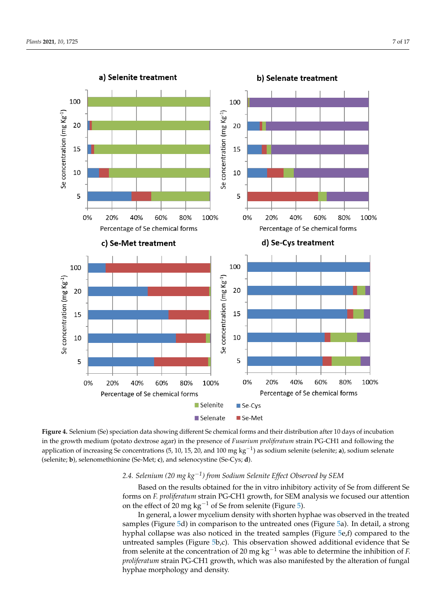

**Figure 4.** Selenium (Se) speciation data showing different Se chemical forms and their distribution after 10 days of incubation in the growth medium (potato dextrose agar) in the presence of *Fusarium proliferatum* strain PG-CH1 and following the application of increasing Se concentrations (5, 10, 15, 20, and 100 mg  $kg^{-1}$ ) as sodium selenite (selenite; **a**), sodium selenate (selenite; **b**), selenomethionine (Se-Met; **c**), and selenocystine (Se-Cys; **d**).

# *2.4. Selenium (20 mg kg1) from Sodium Selenite Effect Observed by SEM*

Based on the results obtained for the in vitro inhibitory activity of Se from different Se forms on *F. proliferatum* strain PG-CH1 growth, for SEM analysis we focused our attention on the effect of 20 mg  $kg^{-1}$  of Se from selenite (Figure 5).

In general, a lower mycelium density with shorten hyphae was observed in the treated samples (Figure 5d) in comparison to the untreated ones (Figure 5a). In detail, a strong hyphal collapse was also noticed in the treated samples (Figure 5e,f) compared to the untreated samples (Figure 5b,c). This observation showed additional evidence that Se from selenite at the concentration of 20 mg  $kg^{-1}$  was able to determine the inhibition of *F*. *proliferatum* strain PG-CH1 growth, which was also manifested by the alteration of fungal hyphae morphology and density.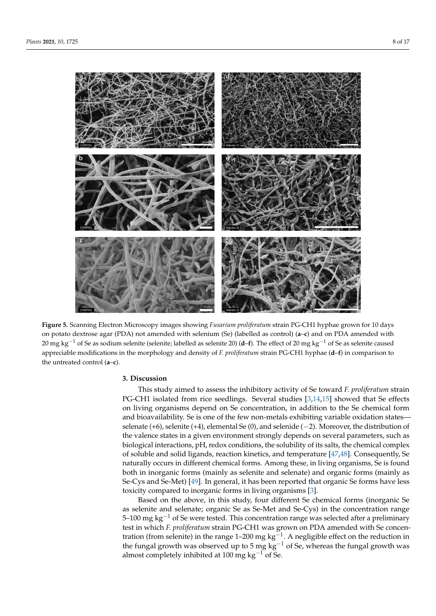

**Figure 5.** Scanning Electron Microscopy images showing *Fusarium proliferatum* strain PG-CH1 hyphae grown for 10 days on potato dextrose agar (PDA) not amended with selenium (Se) (labelled as control) (**a**–**c**) and on PDA amended with 20 mg kg<sup>-1</sup> of Se as sodium selenite (selenite; labelled as selenite 20) (**d**–**f**). The effect of 20 mg kg<sup>-1</sup> of Se as selenite caused appreciable modifications in the morphology and density of *F. proliferatum* strain PG-CH1 hyphae (**d**–**f**) in comparison to the untreated control (**a**–**c**).

## **3. Discussion**

This study aimed to assess the inhibitory activity of Se toward *F. proliferatum* strain PG-CH1 isolated from rice seedlings. Several studies [3,14,15] showed that Se effects on living organisms depend on Se concentration, in addition to the Se chemical form and bioavailability. Se is one of the few non-metals exhibiting variable oxidation states selenate  $(+6)$ , selenite  $(+4)$ , elemental Se  $(0)$ , and selenide  $(-2)$ . Moreover, the distribution of the valence states in a given environment strongly depends on several parameters, such as biological interactions, pH, redox conditions, the solubility of its salts, the chemical complex of soluble and solid ligands, reaction kinetics, and temperature [47,48]. Consequently, Se naturally occurs in different chemical forms. Among these, in living organisms, Se is found both in inorganic forms (mainly as selenite and selenate) and organic forms (mainly as Se-Cys and Se-Met) [49]. In general, it has been reported that organic Se forms have less toxicity compared to inorganic forms in living organisms [3].

Based on the above, in this study, four different Se chemical forms (inorganic Se as selenite and selenate; organic Se as Se-Met and Se-Cys) in the concentration range 5–100 mg  $kg^{-1}$  of Se were tested. This concentration range was selected after a preliminary test in which *F. proliferatum* strain PG-CH1 was grown on PDA amended with Se concentration (from selenite) in the range 1–200 mg  $kg^{-1}$ . A negligible effect on the reduction in the fungal growth was observed up to 5 mg  $kg^{-1}$  of Se, whereas the fungal growth was almost completely inhibited at 100 mg  $kg^{-1}$  of Se.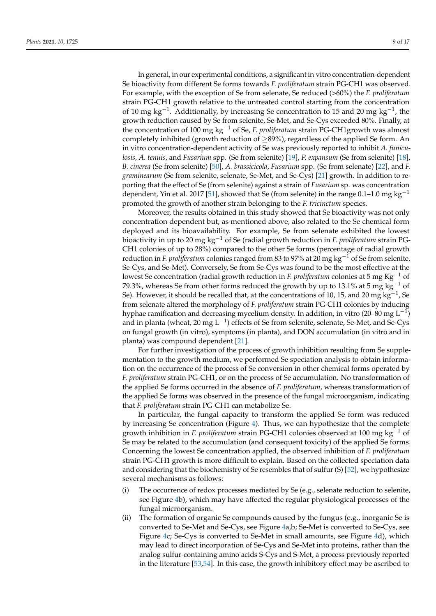In general, in our experimental conditions, a significant in vitro concentration-dependent Se bioactivity from different Se forms towards *F. proliferatum* strain PG-CH1 was observed. For example, with the exception of Se from selenate, Se reduced (>60%) the *F. proliferatum* strain PG-CH1 growth relative to the untreated control starting from the concentration of 10 mg kg<sup>-1</sup>. Additionally, by increasing Se concentration to 15 and 20 mg kg<sup>-1</sup>, the growth reduction caused by Se from selenite, Se-Met, and Se-Cys exceeded 80%. Finally, at the concentration of 100 mg  $kg^{-1}$  of Se, *F. proliferatum* strain PG-CH1growth was almost completely inhibited (growth reduction of  $\geq$ 89%), regardless of the applied Se form. An in vitro concentration-dependent activity of Se was previously reported to inhibit *A. funiculosis*, *A. tenuis*, and *Fusarium* spp. (Se from selenite) [19], *P. expansum* (Se from selenite) [18], *B. cinerea* (Se from selenite) [50], *A. brassicicola*, *Fusarium* spp. (Se from selenate) [22], and *F. graminearum* (Se from selenite, selenate, Se-Met, and Se-Cys) [21] growth. In addition to reporting that the effect of Se (from selenite) against a strain of *Fusarium* sp. was concentration dependent, Yin et al. 2017 [51], showed that Se (from selenite) in the range 0.1–1.0 mg kg<sup>-1</sup> promoted the growth of another strain belonging to the *F. tricinctum* species.

Moreover, the results obtained in this study showed that Se bioactivity was not only concentration dependent but, as mentioned above, also related to the Se chemical form deployed and its bioavailability. For example, Se from selenate exhibited the lowest bioactivity in up to 20 mg kg<sup>-1</sup> of Se (radial growth reduction in *F. proliferatum* strain PG-CH1 colonies of up to 28%) compared to the other Se forms (percentage of radial growth reduction in *F. proliferatum* colonies ranged from 83 to 97% at 20 mg  $kg^{-1}$  of Se from selenite, Se-Cys, and Se-Met). Conversely, Se from Se-Cys was found to be the most effective at the lowest Se concentration (radial growth reduction in *F. proliferatum* colonies at 5 mg Kg<sup>-1</sup> of 79.3%, whereas Se from other forms reduced the growth by up to 13.1% at 5 mg  $\text{kg}^{-1}$  of Se). However, it should be recalled that, at the concentrations of 10, 15, and 20 mg kg<sup>-1</sup>, Se from selenate altered the morphology of *F. proliferatum* strain PG-CH1 colonies by inducing hyphae ramification and decreasing mycelium density. In addition, in vitro (20–80 mg  $L^{-1}$ ) and in planta (wheat, 20 mg  $L^{-1}$ ) effects of Se from selenite, selenate, Se-Met, and Se-Cys on fungal growth (in vitro), symptoms (in planta), and DON accumulation (in vitro and in planta) was compound dependent [21].

For further investigation of the process of growth inhibition resulting from Se supplementation to the growth medium, we performed Se speciation analysis to obtain information on the occurrence of the process of Se conversion in other chemical forms operated by *F. proliferatum* strain PG-CH1, or on the process of Se accumulation. No transformation of the applied Se forms occurred in the absence of *F. proliferatum*, whereas transformation of the applied Se forms was observed in the presence of the fungal microorganism, indicating that *F. proliferatum* strain PG-CH1 can metabolize Se.

In particular, the fungal capacity to transform the applied Se form was reduced by increasing Se concentration (Figure 4). Thus, we can hypothesize that the complete growth inhibition in *F. proliferatum* strain PG-CH1 colonies observed at 100 mg  $kg^{-1}$  of Se may be related to the accumulation (and consequent toxicity) of the applied Se forms. Concerning the lowest Se concentration applied, the observed inhibition of *F. proliferatum* strain PG-CH1 growth is more difficult to explain. Based on the collected speciation data and considering that the biochemistry of Se resembles that of sulfur (S) [52], we hypothesize several mechanisms as follows:

- (i) The occurrence of redox processes mediated by Se (e.g., selenate reduction to selenite, see Figure 4b), which may have affected the regular physiological processes of the fungal microorganism.
- (ii) The formation of organic Se compounds caused by the fungus (e.g., inorganic Se is converted to Se-Met and Se-Cys, see Figure 4a,b; Se-Met is converted to Se-Cys, see Figure 4c; Se-Cys is converted to Se-Met in small amounts, see Figure 4d), which may lead to direct incorporation of Se-Cys and Se-Met into proteins, rather than the analog sulfur-containing amino acids S-Cys and S-Met, a process previously reported in the literature [53,54]. In this case, the growth inhibitory effect may be ascribed to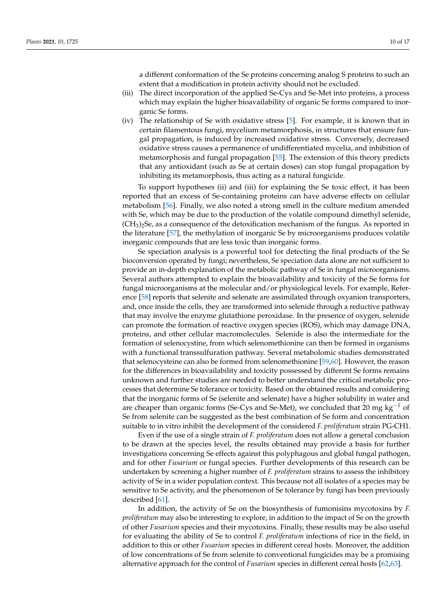a different conformation of the Se proteins concerning analog S proteins to such an extent that a modification in protein activity should not be excluded.

- (iii) The direct incorporation of the applied Se-Cys and Se-Met into proteins, a process which may explain the higher bioavailability of organic Se forms compared to inorganic Se forms.
- (iv) The relationship of Se with oxidative stress [5]. For example, it is known that in certain filamentous fungi, mycelium metamorphosis, in structures that ensure fungal propagation, is induced by increased oxidative stress. Conversely, decreased oxidative stress causes a permanence of undifferentiated mycelia, and inhibition of metamorphosis and fungal propagation [55]. The extension of this theory predicts that any antioxidant (such as Se at certain doses) can stop fungal propagation by inhibiting its metamorphosis, thus acting as a natural fungicide.

To support hypotheses (ii) and (iii) for explaining the Se toxic effect, it has been reported that an excess of Se-containing proteins can have adverse effects on cellular metabolism [56]. Finally, we also noted a strong smell in the culture medium amended with Se, which may be due to the production of the volatile compound dimethyl selenide,  $(CH<sub>3</sub>)<sub>2</sub>Se$ , as a consequence of the detoxification mechanism of the fungus. As reported in the literature [57], the methylation of inorganic Se by microorganisms produces volatile inorganic compounds that are less toxic than inorganic forms.

Se speciation analysis is a powerful tool for detecting the final products of the Se bioconversion operated by fungi; nevertheless, Se speciation data alone are not sufficient to provide an in-depth explanation of the metabolic pathway of Se in fungal microorganisms. Several authors attempted to explain the bioavailability and toxicity of the Se forms for fungal microorganisms at the molecular and/or physiological levels. For example, Reference [58] reports that selenite and selenate are assimilated through oxyanion transporters, and, once inside the cells, they are transformed into selenide through a reductive pathway that may involve the enzyme glutathione peroxidase. In the presence of oxygen, selenide can promote the formation of reactive oxygen species (ROS), which may damage DNA, proteins, and other cellular macromolecules. Selenide is also the intermediate for the formation of selenocystine, from which selenomethionine can then be formed in organisms with a functional transsulfuration pathway. Several metabolomic studies demonstrated that selenocysteine can also be formed from selenomethionine [59,60]. However, the reason for the differences in bioavailability and toxicity possessed by different Se forms remains unknown and further studies are needed to better understand the critical metabolic processes that determine Se tolerance or toxicity. Based on the obtained results and considering that the inorganic forms of Se (selenite and selenate) have a higher solubility in water and are cheaper than organic forms (Se-Cys and Se-Met), we concluded that 20 mg  $kg^{-1}$  of Se from selenite can be suggested as the best combination of Se form and concentration suitable to in vitro inhibit the development of the considered *F. proliferatum* strain PG-CH1.

Even if the use of a single strain of *F. proliferatum* does not allow a general conclusion to be drawn at the species level, the results obtained may provide a basis for further investigations concerning Se effects against this polyphagous and global fungal pathogen, and for other *Fusarium* or fungal species. Further developments of this research can be undertaken by screening a higher number of *F. proliferatum* strains to assess the inhibitory activity of Se in a wider population context. This because not all isolates of a species may be sensitive to Se activity, and the phenomenon of Se tolerance by fungi has been previously described [61].

In addition, the activity of Se on the biosynthesis of fumonisins mycotoxins by *F. proliferatum* may also be interesting to explore, in addition to the impact of Se on the growth of other *Fusarium* species and their mycotoxins. Finally, these results may be also useful for evaluating the ability of Se to control *F. proliferatum* infections of rice in the field, in addition to this or other *Fusarium* species in different cereal hosts. Moreover, the addition of low concentrations of Se from selenite to conventional fungicides may be a promising alternative approach for the control of *Fusarium* species in different cereal hosts [62,63].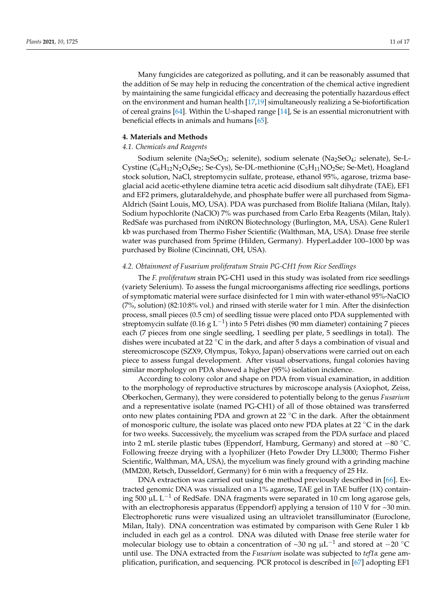Many fungicides are categorized as polluting, and it can be reasonably assumed that the addition of Se may help in reducing the concentration of the chemical active ingredient by maintaining the same fungicidal efficacy and decreasing the potentially hazardous effect on the environment and human health [17,19] simultaneously realizing a Se-biofortification of cereal grains [64]. Within the U-shaped range [14], Se is an essential micronutrient with beneficial effects in animals and humans [65].

#### **4. Materials and Methods**

## *4.1. Chemicals and Reagents*

Sodium selenite (Na<sub>2</sub>SeO<sub>3</sub>; selenite), sodium selenate (Na<sub>2</sub>SeO<sub>4</sub>; selenate), Se-L-Cystine  $(C_6H_{12}N_2O_4Se_2$ ; Se-Cys), Se-DL-methionine  $(C_5H_{11}NO_2Se_1$ ; Se-Met), Hoagland stock solution, NaCl, streptomycin sulfate, protease, ethanol 95%, agarose, trizma baseglacial acid acetic-ethylene diamine tetra acetic acid disodium salt dihydrate (TAE), EF1 and EF2 primers, glutaraldehyde, and phosphate buffer were all purchased from Sigma-Aldrich (Saint Louis, MO, USA). PDA was purchased from Biolife Italiana (Milan, Italy). Sodium hypochlorite (NaClO) 7% was purchased from Carlo Erba Reagents (Milan, Italy). RedSafe was purchased from iNtRON Biotechnology (Burlington, MA, USA). Gene Ruler1 kb was purchased from Thermo Fisher Scientific (Walthman, MA, USA). Dnase free sterile water was purchased from 5prime (Hilden, Germany). HyperLadder 100–1000 bp was purchased by Bioline (Cincinnati, OH, USA).

#### *4.2. Obtainment of Fusarium proliferatum Strain PG-CH1 from Rice Seedlings*

The *F. proliferatum* strain PG-CH1 used in this study was isolated from rice seedlings (variety Selenium). To assess the fungal microorganisms affecting rice seedlings, portions of symptomatic material were surface disinfected for 1 min with water-ethanol 95%-NaClO (7%, solution) (82:10:8% vol.) and rinsed with sterile water for 1 min. After the disinfection process, small pieces (0.5 cm) of seedling tissue were placed onto PDA supplemented with streptomycin sulfate (0.16 g  $L^{-1}$ ) into 5 Petri dishes (90 mm diameter) containing 7 pieces each (7 pieces from one single seedling, 1 seedling per plate, 5 seedlings in total). The dishes were incubated at 22  $\degree$ C in the dark, and after 5 days a combination of visual and stereomicroscope (SZX9, Olympus, Tokyo, Japan) observations were carried out on each piece to assess fungal development. After visual observations, fungal colonies having similar morphology on PDA showed a higher (95%) isolation incidence.

According to colony color and shape on PDA from visual examination, in addition to the morphology of reproductive structures by microscope analysis (Axiophot, Zeiss, Oberkochen, Germany), they were considered to potentially belong to the genus *Fusarium* and a representative isolate (named PG-CH1) of all of those obtained was transferred onto new plates containing PDA and grown at 22  $\degree$ C in the dark. After the obtainment of monosporic culture, the isolate was placed onto new PDA plates at 22  $^{\circ}$ C in the dark for two weeks. Successively, the mycelium was scraped from the PDA surface and placed into 2 mL sterile plastic tubes (Eppendorf, Hamburg, Germany) and stored at  $-80$  °C. Following freeze drying with a lyophilizer (Heto Powder Dry LL3000; Thermo Fisher Scientific, Walthman, MA, USA), the mycelium was finely ground with a grinding machine (MM200, Retsch, Dusseldorf, Germany) for 6 min with a frequency of 25 Hz.

DNA extraction was carried out using the method previously described in [66]. Extracted genomic DNA was visualized on a 1% agarose, TAE gel in TAE buffer (1X) containing 500  $\mu$ L L<sup>-1</sup> of RedSafe. DNA fragments were separated in 10 cm long agarose gels, with an electrophoresis apparatus (Eppendorf) applying a tension of 110 V for  $\sim$ 30 min. Electrophoretic runs were visualized using an ultraviolet transilluminator (Euroclone, Milan, Italy). DNA concentration was estimated by comparison with Gene Ruler 1 kb included in each gel as a control. DNA was diluted with Dnase free sterile water for molecular biology use to obtain a concentration of ~30 ng  $\mu L^{-1}$  and stored at -20 °C until use. The DNA extracted from the *Fusarium* isolate was subjected to *tef1a* gene amplification, purification, and sequencing. PCR protocol is described in [67] adopting EF1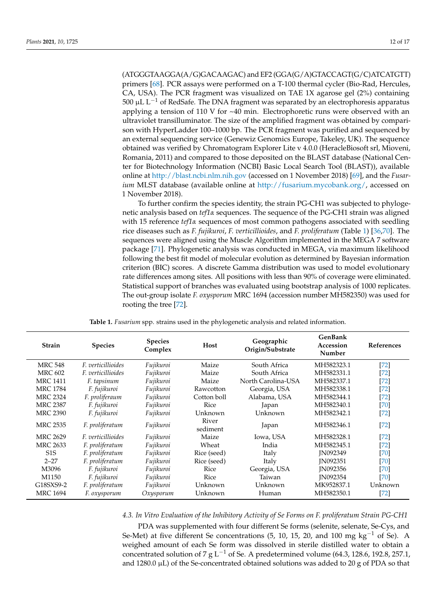(ATGGGTAAGGA(A/G)GACAAGAC) and EF2 (GGA(G/A)GTACCAGT(G/C)ATCATGTT) primers [68]. PCR assays were performed on a T-100 thermal cycler (Bio-Rad, Hercules, CA, USA). The PCR fragment was visualized on TAE 1X agarose gel (2%) containing 500  $\mu$ L  $L^{-1}$  of RedSafe. The DNA fragment was separated by an electrophoresis apparatus applying a tension of 110 V for  $\sim$  40 min. Electrophoretic runs were observed with an ultraviolet transilluminator. The size of the amplified fragment was obtained by comparison with HyperLadder 100–1000 bp. The PCR fragment was purified and sequenced by an external sequencing service (Genewiz Genomics Europe, Takeley, UK). The sequence obtained was verified by Chromatogram Explorer Lite v 4.0.0 (HeracleBiosoft srl, Mioveni, Romania, 2011) and compared to those deposited on the BLAST database (National Center for Biotechnology Information (NCBI) Basic Local Search Tool (BLAST)), available online at http://blast.ncbi.nlm.nih.gov (accessed on 1 November 2018) [69], and the *Fusarium* MLST database (available online at http://fusarium.mycobank.org/, accessed on 1 November 2018).

To further confirm the species identity, the strain PG-CH1 was subjected to phylogenetic analysis based on *tef1a* sequences. The sequence of the PG-CH1 strain was aligned with 15 reference *tef1a* sequences of most common pathogens associated with seedling rice diseases such as *F. fujikuroi*, *F. verticillioides*, and *F. proliferatum* (Table 1) [36,70]. The sequences were aligned using the Muscle Algorithm implemented in the MEGA 7 software package [71]. Phylogenetic analysis was conducted in MEGA, via maximum likelihood following the best fit model of molecular evolution as determined by Bayesian information criterion (BIC) scores. A discrete Gamma distribution was used to model evolutionary rate differences among sites. All positions with less than 90% of coverage were eliminated. Statistical support of branches was evaluated using bootstrap analysis of 1000 replicates. The out-group isolate *F. oxysporum* MRC 1694 (accession number MH582350) was used for rooting the tree [72].

| <b>Strain</b>    | <b>Species</b>            | <b>Species</b><br>Complex | Host              | Geographic<br>Origin/Substrate | <b>GenBank</b><br>Accession<br>Number | <b>References</b> |
|------------------|---------------------------|---------------------------|-------------------|--------------------------------|---------------------------------------|-------------------|
| <b>MRC 548</b>   | <i>F. verticillioides</i> | Fujikuroi                 | Maize             | South Africa                   | MH582323.1                            | $[72]$            |
| <b>MRC 602</b>   | F. verticillioides        | Fujikuroi                 | Maize             | South Africa                   | MH582331.1                            | $[72]$            |
| <b>MRC 1411</b>  | F. tapsinum               | Fujikuroi                 | Maize             | North Carolina-USA             | MH582337.1                            | $[72]$            |
| <b>MRC 1784</b>  | F. fujikuroi              | Fujikuroi                 | Rawcotton         | Georgia, USA                   | MH582338.1                            | $[72]$            |
| <b>MRC 2324</b>  | F. proliferaum            | Fujikuroi                 | Cotton boll       | Alabama, USA                   | MH582344.1                            | $[72]$            |
| <b>MRC 2387</b>  | F. fujikuroi              | Fujikuroi                 | Rice              | Japan                          | MH582340.1                            | [70]              |
| <b>MRC 2390</b>  | F. fujikuroi              | Fujikuroi                 | Unknown           | Unknown                        | MH582342.1                            | $[72]$            |
| <b>MRC 2535</b>  | F. proliferatum           | Fujikuroi                 | River<br>sediment | Japan                          | MH582346.1                            | $[72]$            |
| <b>MRC 2629</b>  | <i>F. verticillioides</i> | Fujikuroi                 | Maize             | Iowa, USA                      | MH582328.1                            | $[72]$            |
| <b>MRC 2633</b>  | F. proliferatum           | Fujikuroi                 | Wheat             | India                          | MH582345.1                            | $[72]$            |
| S <sub>1</sub> S | F. proliferatum           | Fujikuroi                 | Rice (seed)       | Italy                          | IN092349                              | [70]              |
| $2 - 27$         | F. proliferatum           | Fujikuroi                 | Rice (seed)       | Italy                          | <b>IN092351</b>                       | [70]              |
| M3096            | F. fujikuroi              | Fujikuroi                 | Rice              | Georgia, USA                   | <b>IN092356</b>                       | [70]              |
| M1150            | F. fujikuroi              | Fujikuroi                 | <b>Rice</b>       | Taiwan                         | <b>IN092354</b>                       | [70]              |
| G18SXS9-2        | F. proliferatum           | Fujikuroi                 | Unknown           | Unknown                        | MK952837.1                            | Unknown           |
| <b>MRC 1694</b>  | F. oxysporum              | Oxysporum                 | Unknown           | Human                          | MH582350.1                            | $[72]$            |

**Table 1.** *Fusarium* spp. strains used in the phylogenetic analysis and related information.

# *4.3. In Vitro Evaluation of the Inhibitory Activity of Se Forms on F. proliferatum Strain PG-CH1*

PDA was supplemented with four different Se forms (selenite, selenate, Se-Cys, and Se-Met) at five different Se concentrations  $(5, 10, 15, 20,$  and  $100 \text{ mg kg}^{-1}$  of Se). A weighed amount of each Se form was dissolved in sterile distilled water to obtain a concentrated solution of 7 g L<sup>-1</sup> of Se. A predetermined volume (64.3, 128.6, 192.8, 257.1, and 1280.0  $\mu$ L) of the Se-concentrated obtained solutions was added to 20 g of PDA so that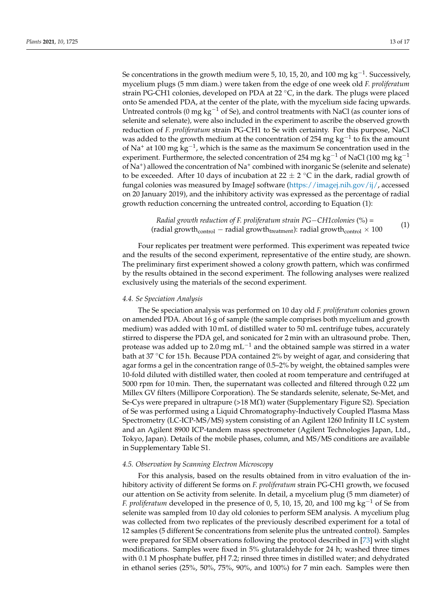Se concentrations in the growth medium were 5, 10, 15, 20, and 100 mg  $kg^{-1}$ . Successively, mycelium plugs (5 mm diam.) were taken from the edge of one week old *F. proliferatum* strain PG-CH1 colonies, developed on PDA at 22  $\degree$ C, in the dark. The plugs were placed onto Se amended PDA, at the center of the plate, with the mycelium side facing upwards. Untreated controls (0 mg  $\text{kg}^{-1}$  of Se), and control treatments with NaCl (as counter ions of selenite and selenate), were also included in the experiment to ascribe the observed growth reduction of *F. proliferatum* strain PG-CH1 to Se with certainty. For this purpose, NaCl was added to the growth medium at the concentration of 254 mg  $kg^{-1}$  to fix the amount of Na<sup>+</sup> at 100 mg kg<sup>-1</sup>, which is the same as the maximum Se concentration used in the experiment. Furthermore, the selected concentration of 254 mg kg<sup>-1</sup> of NaCl (100 mg kg<sup>-1</sup>) of Na<sup>+</sup>) allowed the concentration of Na<sup>+</sup> combined with inorganic Se (selenite and selenate) to be exceeded. After 10 days of incubation at  $22 \pm 2$  °C in the dark, radial growth of fungal colonies was measured by ImageJ software (https://imagej.nih.gov/ij/, accessed on 20 January 2019), and the inhibitory activity was expressed as the percentage of radial growth reduction concerning the untreated control, according to Equation (1):

> *Radial growth reduction of F. proliferatum strain PGCH1colonies* (%) = (radial growth relation by 1. programm strain 1 S Corrections (b) – (1)<br>(radial growth<sub>control</sub> – radial growth<sub>treatment</sub>): radial growth<sub>control</sub>  $\times$  100

Four replicates per treatment were performed. This experiment was repeated twice and the results of the second experiment, representative of the entire study, are shown. The preliminary first experiment showed a colony growth pattern, which was confirmed by the results obtained in the second experiment. The following analyses were realized exclusively using the materials of the second experiment.

#### *4.4. Se Speciation Analysis*

The Se speciation analysis was performed on 10 day old *F. proliferatum* colonies grown on amended PDA. About 16 g of sample (the sample comprises both mycelium and growth medium) was added with 10 mL of distilled water to 50 mL centrifuge tubes, accurately stirred to disperse the PDA gel, and sonicated for 2 min with an ultrasound probe. Then, protease was added up to 2.0 mg  $mL^{-1}$  and the obtained sample was stirred in a water bath at 37 °C for 15 h. Because PDA contained 2% by weight of agar, and considering that agar forms a gel in the concentration range of 0.5–2% by weight, the obtained samples were 10-fold diluted with distilled water, then cooled at room temperature and centrifuged at 5000 rpm for 10 min. Then, the supernatant was collected and filtered through 0.22  $\mu$ m Millex GV filters (Millipore Corporation). The Se standards selenite, selenate, Se-Met, and Se-Cys were prepared in ultrapure  $(>18 M\Omega)$  water (Supplementary Figure S2). Speciation of Se was performed using a Liquid Chromatography-Inductively Coupled Plasma Mass Spectrometry (LC-ICP-MS/MS) system consisting of an Agilent 1260 Infinity II LC system and an Agilent 8900 ICP-tandem mass spectrometer (Agilent Technologies Japan, Ltd., Tokyo, Japan). Details of the mobile phases, column, and MS/MS conditions are available in Supplementary Table S1.

#### *4.5. Observation by Scanning Electron Microscopy*

For this analysis, based on the results obtained from in vitro evaluation of the inhibitory activity of different Se forms on *F. proliferatum* strain PG-CH1 growth, we focused our attention on Se activity from selenite. In detail, a mycelium plug (5 mm diameter) of *F. proliferatum* developed in the presence of 0, 5, 10, 15, 20, and 100 mg  $kg^{-1}$  of Se from selenite was sampled from 10 day old colonies to perform SEM analysis. A mycelium plug was collected from two replicates of the previously described experiment for a total of 12 samples (5 different Se concentrations from selenite plus the untreated control). Samples were prepared for SEM observations following the protocol described in [73] with slight modifications. Samples were fixed in 5% glutaraldehyde for 24 h; washed three times with 0.1 M phosphate buffer, pH 7.2; rinsed three times in distilled water; and dehydrated in ethanol series (25%, 50%, 75%, 90%, and 100%) for 7 min each. Samples were then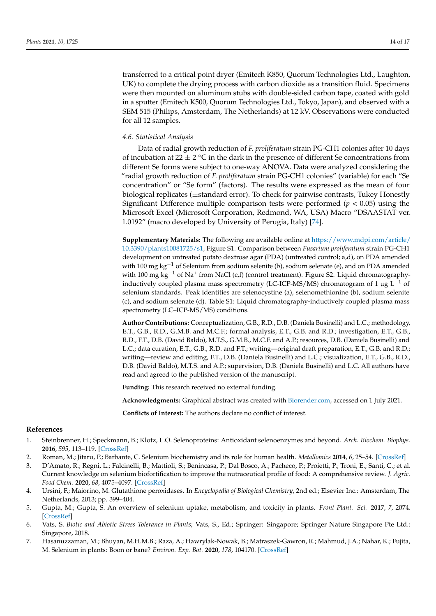transferred to a critical point dryer (Emitech K850, Quorum Technologies Ltd., Laughton, UK) to complete the drying process with carbon dioxide as a transition fluid. Specimens were then mounted on aluminum stubs with double-sided carbon tape, coated with gold in a sputter (Emitech K500, Quorum Technologies Ltd., Tokyo, Japan), and observed with a SEM 515 (Philips, Amsterdam, The Netherlands) at 12 kV. Observations were conducted for all 12 samples.

# *4.6. Statistical Analysis*

Data of radial growth reduction of *F. proliferatum* strain PG-CH1 colonies after 10 days of incubation at 22  $\pm$  2  $\degree$ C in the dark in the presence of different Se concentrations from different Se forms were subject to one-way ANOVA. Data were analyzed considering the "radial growth reduction of *F. proliferatum* strain PG-CH1 colonies" (variable) for each "Se concentration" or "Se form" (factors). The results were expressed as the mean of four biological replicates (*±*standard error). To check for pairwise contrasts, Tukey Honestly Significant Difference multiple comparison tests were performed ( $p < 0.05$ ) using the Microsoft Excel (Microsoft Corporation, Redmond, WA, USA) Macro "DSAASTAT ver. 1.0192" (macro developed by University of Perugia, Italy) [74].

**Supplementary Materials:** The following are available online at https://www.mdpi.com/article/ 10.3390/plants10081725/s1, Figure S1. Comparison between *Fusarium proliferatum* strain PG-CH1 development on untreated potato dextrose agar (PDA) (untreated control; a,d), on PDA amended with 100 mg kg<sup>-1</sup> of Selenium from sodium selenite (b), sodium selenate (e), and on PDA amended with 100 mg kg<sup>-1</sup> of Na<sup>+</sup> from NaCl (c,f) (control treatment). Figure S2. Liquid chromatographyinductively coupled plasma mass spectrometry (LC-ICP-MS/MS) chromatogram of 1  $\mu$ g L<sup>-1</sup> of selenium standards. Peak identities are selenocystine (a), selenomethionine (b), sodium selenite (c), and sodium selenate (d). Table S1: Liquid chromatography-inductively coupled plasma mass spectrometry (LC–ICP-MS/MS) conditions.

**Author Contributions:** Conceptualization, G.B., R.D., D.B. (Daniela Businelli) and L.C.; methodology, E.T., G.B., R.D., G.M.B. and M.C.F.; formal analysis, E.T., G.B. and R.D.; investigation, E.T., G.B., R.D., F.T., D.B. (David Baldo), M.T.S., G.M.B., M.C.F. and A.P.; resources, D.B. (Daniela Businelli) and L.C.; data curation, E.T., G.B., R.D. and F.T.; writing—original draft preparation, E.T., G.B. and R.D.; writing—review and editing, F.T., D.B. (Daniela Businelli) and L.C.; visualization, E.T., G.B., R.D., D.B. (David Baldo), M.T.S. and A.P.; supervision, D.B. (Daniela Businelli) and L.C. All authors have read and agreed to the published version of the manuscript.

**Funding:** This research received no external funding.

**Acknowledgments:** Graphical abstract was created with Biorender.com, accessed on 1 July 2021.

**Conflicts of Interest:** The authors declare no conflict of interest.

#### **References**

- 1. Steinbrenner, H.; Speckmann, B.; Klotz, L.O. Selenoproteins: Antioxidant selenoenzymes and beyond. *Arch. Biochem. Biophys.* **2016**, *595*, 113–119. [CrossRef]
- 2. Roman, M.; Jitaru, P.; Barbante, C. Selenium biochemistry and its role for human health. *Metallomics* **2014**, *6*, 25–54. [CrossRef]
- 3. D'Amato, R.; Regni, L.; Falcinelli, B.; Mattioli, S.; Benincasa, P.; Dal Bosco, A.; Pacheco, P.; Proietti, P.; Troni, E.; Santi, C.; et al. Current knowledge on selenium biofortification to improve the nutraceutical profile of food: A comprehensive review. *J. Agric. Food Chem.* **2020**, *68*, 4075–4097. [CrossRef]
- 4. Ursini, F.; Maiorino, M. Glutathione peroxidases. In *Encyclopedia of Biological Chemistry*, 2nd ed.; Elsevier Inc.: Amsterdam, The Netherlands, 2013; pp. 399–404.
- 5. Gupta, M.; Gupta, S. An overview of selenium uptake, metabolism, and toxicity in plants. *Front Plant. Sci.* **2017**, *7*, 2074. [CrossRef]
- 6. Vats, S. *Biotic and Abiotic Stress Tolerance in Plants*; Vats, S., Ed.; Springer: Singapore; Springer Nature Singapore Pte Ltd.: Singapore, 2018.
- 7. Hasanuzzaman, M.; Bhuyan, M.H.M.B.; Raza, A.; Hawrylak-Nowak, B.; Matraszek-Gawron, R.; Mahmud, J.A.; Nahar, K.; Fujita, M. Selenium in plants: Boon or bane? *Environ. Exp. Bot.* **2020**, *178*, 104170. [CrossRef]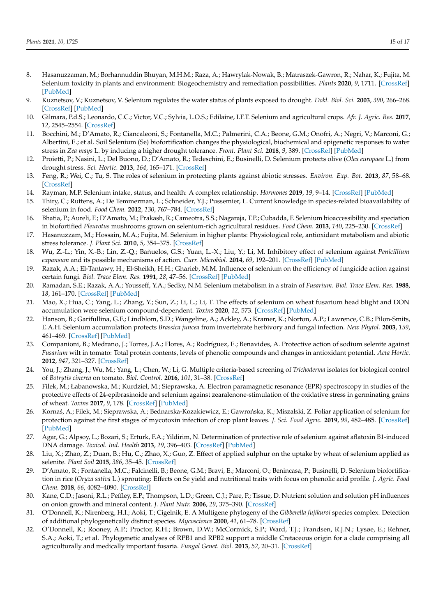- 8. Hasanuzzaman, M.; Borhannuddin Bhuyan, M.H.M.; Raza, A.; Hawrylak-Nowak, B.; Matraszek-Gawron, R.; Nahar, K.; Fujita, M. Selenium toxicity in plants and environment: Biogeochemistry and remediation possibilities. *Plants* **2020**, *9*, 1711. [CrossRef] [PubMed]
- 9. Kuznetsov, V.; Kuznetsov, V. Selenium regulates the water status of plants exposed to drought. *Dokl. Biol. Sci.* **2003**, *390*, 266–268. [CrossRef] [PubMed]
- 10. Gilmara, P.d.S.; Leonardo, C.C.; Victor, V.C.; Sylvia, L.O.S.; Edilaine, I.F.T. Selenium and agricultural crops. *Afr. J. Agric. Res.* **2017**, *12*, 2545–2554. [CrossRef]
- 11. Bocchini, M.; D'Amato, R.; Ciancaleoni, S.; Fontanella, M.C.; Palmerini, C.A.; Beone, G.M.; Onofri, A.; Negri, V.; Marconi, G.; Albertini, E.; et al. Soil Selenium (Se) biofortification changes the physiological, biochemical and epigenetic responses to water stress in *Zea mays* L. by inducing a higher drought tolerance. *Front. Plant Sci.* **2018**, *9*, 389. [CrossRef] [PubMed]
- 12. Proietti, P.; Nasini, L.; Del Buono, D.; D'Amato, R.; Tedeschini, E.; Businelli, D. Selenium protects olive (*Olea europaea* L.) from drought stress. *Sci. Hortic.* **2013**, *164*, 165–171. [CrossRef]
- 13. Feng, R.; Wei, C.; Tu, S. The roles of selenium in protecting plants against abiotic stresses. *Environ. Exp. Bot.* **2013**, *87*, 58–68. [CrossRef]
- 14. Rayman, M.P. Selenium intake, status, and health: A complex relationship. *Hormones* **2019**, *19*, 9–14. [CrossRef] [PubMed]
- 15. Thiry, C.; Ruttens, A.; De Temmerman, L.; Schneider, Y.J.; Pussemier, L. Current knowledge in species-related bioavailability of selenium in food. *Food Chem.* **2012**, *130*, 767–784. [CrossRef]
- 16. Bhatia, P.; Aureli, F.; D'Amato, M.; Prakash, R.; Cameotra, S.S.; Nagaraja, T.P.; Cubadda, F. Selenium bioaccessibility and speciation in biofortified *Pleurotus* mushrooms grown on selenium-rich agricultural residues. *Food Chem.* **2013**, *140*, 225–230. [CrossRef]
- 17. Hasanuzzam, M.; Hossain, M.A.; Fujita, M. Selenium in higher plants: Physiological role, antioxidant metabolism and abiotic stress tolerance. *J. Plant Sci.* **2010**, *5*, 354–375. [CrossRef]
- 18. Wu, Z.-L.; Yin, X.-B.; Lin, Z.-Q.; Bañuelos, G.S.; Yuan, L.-X.; Liu, Y.; Li, M. Inhibitory effect of selenium against *Penicillium expansum* and its possible mechanisms of action. *Curr. Microbiol.* **2014**, *69*, 192–201. [CrossRef] [PubMed]
- 19. Razak, A.A.; El-Tantawy, H.; El-Sheikh, H.H.; Gharieb, M.M. Influence of selenium on the efficiency of fungicide action against certain fungi. *Biol. Trace Elem. Res.* **1991**, *28*, 47–56. [CrossRef] [PubMed]
- 20. Ramadan, S.E.; Razak, A.A.; Yousseff, Y.A.; Sedky, N.M. Selenium metabolism in a strain of *Fusarium*. *Biol. Trace Elem. Res.* **1988**, *18*, 161–170. [CrossRef] [PubMed]
- 21. Mao, X.; Hua, C.; Yang, L.; Zhang, Y.; Sun, Z.; Li, L.; Li, T. The effects of selenium on wheat fusarium head blight and DON accumulation were selenium compound-dependent. *Toxins* **2020**, *12*, 573. [CrossRef] [PubMed]
- 22. Hanson, B.; Garifullina, G.F.; Lindblom, S.D.; Wangeline, A.; Ackley, A.; Kramer, K.; Norton, A.P.; Lawrence, C.B.; Pilon-Smits, E.A.H. Selenium accumulation protects *Brassica juncea* from invertebrate herbivory and fungal infection. *New Phytol.* **2003**, *159*, 461–469. [CrossRef] [PubMed]
- 23. Companioni, B.; Medrano, J.; Torres, J.A.; Flores, A.; Rodríguez, E.; Benavides, A. Protective action of sodium selenite against *Fusarium* wilt in tomato: Total protein contents, levels of phenolic compounds and changes in antioxidant potential. *Acta Hortic.* **2012**, *947*, 321–327. [CrossRef]
- 24. You, J.; Zhang, J.; Wu, M.; Yang, L.; Chen, W.; Li, G. Multiple criteria-based screening of *Trichoderma* isolates for biological control of *Botrytis cinerea* on tomato. *Biol. Control.* **2016**, *101*, 31–38. [CrossRef]
- 25. Filek, M.; Łabanowska, M.; Kurdziel, M.; Sieprawska, A. Electron paramagnetic resonance (EPR) spectroscopy in studies of the protective effects of 24-epibrasinoide and selenium against zearalenone-stimulation of the oxidative stress in germinating grains of wheat. *Toxins* **2017**, *9*, 178. [CrossRef] [PubMed]
- 26. Kornaś, A.; Filek, M.; Sieprawska, A.; Bednarska-Kozakiewicz, E.; Gawrońska, K.; Miszalski, Z. Foliar application of selenium for protection against the first stages of mycotoxin infection of crop plant leaves. *J. Sci. Food Agric.* **2019**, *99*, 482–485. [CrossRef] [PubMed]
- 27. Agar, G.; Alpsoy, L.; Bozari, S.; Erturk, F.A.; Yildirim, N. Determination of protective role of selenium against aflatoxin B1-induced DNA damage. *Toxicol. Ind. Health* **2013**, *29*, 396–403. [CrossRef] [PubMed]
- 28. Liu, X.; Zhao, Z.; Duan, B.; Hu, C.; Zhao, X.; Guo, Z. Effect of applied sulphur on the uptake by wheat of selenium applied as selenite. *Plant Soil* **2015**, *386*, 35–45. [CrossRef]
- 29. D'Amato, R.; Fontanella, M.C.; Falcinelli, B.; Beone, G.M.; Bravi, E.; Marconi, O.; Benincasa, P.; Businelli, D. Selenium biofortification in rice (*Oryza sativa* L.) sprouting: Effects on Se yield and nutritional traits with focus on phenolic acid profile. *J. Agric. Food Chem.* **2018**, *66*, 4082–4090. [CrossRef]
- 30. Kane, C.D.; Jasoni, R.L.; Peffley, E.P.; Thompson, L.D.; Green, C.J.; Pare, P.; Tissue, D. Nutrient solution and solution pH influences on onion growth and mineral content. *J. Plant Nutr.* **2006**, *29*, 375–390. [CrossRef]
- 31. O'Donnell, K.; Nirenberg, H.I.; Aoki, T.; Cigelnik, E. A Multigene phylogeny of the *Gibberella fujikuroi* species complex: Detection of additional phylogenetically distinct species. *Mycoscience* **2000**, *41*, 61–78. [CrossRef]
- 32. O'Donnell, K.; Rooney, A.P.; Proctor, R.H.; Brown, D.W.; McCormick, S.P.; Ward, T.J.; Frandsen, R.J.N.; Lysøe, E.; Rehner, S.A.; Aoki, T.; et al. Phylogenetic analyses of RPB1 and RPB2 support a middle Cretaceous origin for a clade comprising all agriculturally and medically important fusaria. *Fungal Genet. Biol.* **2013**, *52*, 20–31. [CrossRef]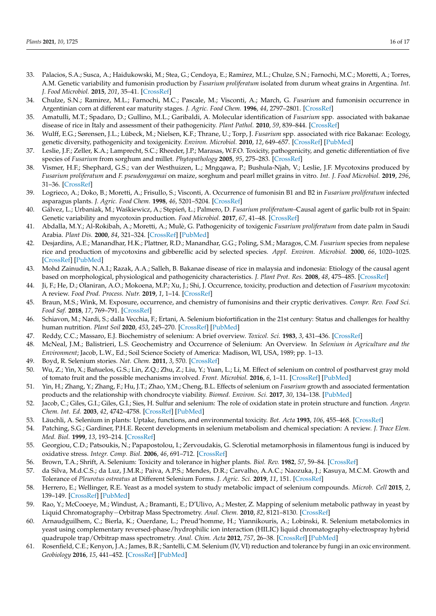- 33. Palacios, S.A.; Susca, A.; Haidukowski, M.; Stea, G.; Cendoya, E.; Ramírez, M.L.; Chulze, S.N.; Farnochi, M.C.; Moretti, A.; Torres, A.M. Genetic variability and fumonisin production by *Fusarium proliferatum* isolated from durum wheat grains in Argentina. *Int. J. Food Microbiol.* **2015**, *201*, 35–41. [CrossRef]
- 34. Chulze, S.N.; Ramirez, M.L.; Farnochi, M.C.; Pascale, M.; Visconti, A.; March, G. *Fusarium* and fumonisin occurrence in Argentinian corn at different ear maturity stages. *J. Agric. Food Chem.* **1996**, *44*, 2797–2801. [CrossRef]
- 35. Amatulli, M.T.; Spadaro, D.; Gullino, M.L.; Garibaldi, A. Molecular identification of *Fusarium* spp. associated with bakanae disease of rice in Italy and assessment of their pathogenicity. *Plant Pathol.* **2010**, *59*, 839–844. [CrossRef]
- 36. Wulff, E.G.; Sørensen, J.L.; Lübeck, M.; Nielsen, K.F.; Thrane, U.; Torp, J. *Fusarium* spp. associated with rice Bakanae: Ecology, genetic diversity, pathogenicity and toxigenicity. *Environ. Microbiol.* **2010**, *12*, 649–657. [CrossRef] [PubMed]
- 37. Leslie, J.F.; Zeller, K.A.; Lamprecht, S.C.; Rheeder, J.P.; Marasas, W.F.O. Toxicity, pathogenicity, and genetic differentiation of five species of *Fusarium* from sorghum and millet. *Phytopathology* **2005**, *95*, 275–283. [CrossRef]
- 38. Vismer, H.F.; Shephard, G.S.; van der Westhuizen, L.; Mngqawa, P.; Bushula-Njah, V.; Leslie, J.F. Mycotoxins produced by *Fusarium proliferatum* and *F. pseudonygamai* on maize, sorghum and pearl millet grains in vitro. *Int. J. Food Microbiol.* **2019**, *296*, 31–36. [CrossRef]
- 39. Logrieco, A.; Doko, B.; Moretti, A.; Frisullo, S.; Visconti, A. Occurrence of fumonisin B1 and B2 in *Fusarium proliferatum* infected asparagus plants. *J. Agric. Food Chem.* **1998**, *46*, 5201–5204. [CrossRef]
- 40. Gálvez, L.; Urbaniak, M.; Waśkiewicz, A.; Stępień, Ł.; Palmero, D. *Fusarium proliferatum*–Causal agent of garlic bulb rot in Spain: Genetic variability and mycotoxin production. *Food Microbiol.* **2017**, *67*, 41–48. [CrossRef]
- 41. Abdalla, M.Y.; Al-Rokibah, A.; Moretti, A.; Mulè, G. Pathogenicity of toxigenic *Fusarium proliferatum* from date palm in Saudi Arabia. *Plant Dis.* **2000**, *84*, 321–324. [CrossRef] [PubMed]
- 42. Desjardins, A.E.; Manandhar, H.K.; Plattner, R.D.; Manandhar, G.G.; Poling, S.M.; Maragos, C.M. *Fusarium* species from nepalese rice and production of mycotoxins and gibberellic acid by selected species. *Appl. Environ. Microbiol.* **2000**, *66*, 1020–1025. [CrossRef] [PubMed]
- 43. Mohd Zainudin, N.A.I.; Razak, A.A.; Salleh, B. Bakanae disease of rice in malaysia and indonesia: Etiology of the causal agent based on morphological, physiological and pathogenicity characteristics. *J. Plant Prot. Res.* **2008**, *48*, 475–485. [CrossRef]
- 44. Ji, F.; He, D.; Olaniran, A.O.; Mokoena, M.P.; Xu, J.; Shi, J. Occurrence, toxicity, production and detection of *Fusarium* mycotoxin: A review. *Food Prod. Process. Nutr.* **2019**, *1*, 1–14. [CrossRef]
- 45. Braun, M.S.; Wink, M. Exposure, occurrence, and chemistry of fumonisins and their cryptic derivatives. *Compr. Rev. Food Sci. Food Saf.* **2018**, *17*, 769–791. [CrossRef]
- 46. Schiavon, M.; Nardi, S.; dalla Vecchia, F.; Ertani, A. Selenium biofortification in the 21st century: Status and challenges for healthy human nutrition. *Plant Soil* **2020**, *453*, 245–270. [CrossRef] [PubMed]
- 47. Reddy, C.C.; Massaro, E.J. Biochemistry of selenium: A brief overview. *Toxicol. Sci.* **1983**, *3*, 431–436. [CrossRef]
- 48. McNeal, J.M.; Balistrieri, L.S. Geochemistry and Occurrence of Selenium: An Overview. In *Selenium in Agriculture and the Environment*; Jacob, L.W., Ed.; Soil Science Society of America: Madison, WI, USA, 1989; pp. 1–13.
- 49. Boyd, R. Selenium stories. *Nat. Chem.* **2011**, *3*, 570. [CrossRef]
- 50. Wu, Z.; Yin, X.; Bañuelos, G.S.; Lin, Z.Q.; Zhu, Z.; Liu, Y.; Yuan, L.; Li, M. Effect of selenium on control of postharvest gray mold of tomato fruit and the possible mechanisms involved. *Front. Microbiol.* **2016**, *6*, 1–11. [CrossRef] [PubMed]
- 51. Yin, H.; Zhang, Y.; Zhang, F.; Hu, J.T.; Zhao, Y.M.; Cheng, B.L. Effects of selenium on *Fusarium* growth and associated fermentation products and the relationship with chondrocyte viability. *Biomed. Environ. Sci.* **2017**, *30*, 134–138. [PubMed]
- 52. Jacob, C.; Giles, G.I.; Giles, G.I.; Sies, H. Sulfur and selenium: The role of oxidation state in protein structure and function. *Angew. Chem. Int. Ed.* **2003**, *42*, 4742–4758. [CrossRef] [PubMed]
- 53. Läuchli, A. Selenium in plants: Uptake, functions, and environmental toxicity. *Bot. Acta* **1993**, *106*, 455–468. [CrossRef]
- 54. Patching, S.G.; Gardiner, P.H.E. Recent developments in selenium metabolism and chemical speciation: A review. *J. Trace Elem. Med. Biol.* **1999**, *13*, 193–214. [CrossRef]
- 55. Georgiou, C.D.; Patsoukis, N.; Papapostolou, I.; Zervoudakis, G. Sclerotial metamorphosis in filamentous fungi is induced by oxidative stress. *Integr. Comp. Biol.* **2006**, *46*, 691–712. [CrossRef]
- 56. Brown, T.A.; Shrift, A. Selenium: Toxicity and tolerance in higher plants. *Biol. Rev.* **1982**, *57*, 59–84. [CrossRef]
- 57. da Silva, M.d.C.S.; da Luz, J.M.R.; Paiva, A.P.S.; Mendes, D.R.; Carvalho, A.A.C.; Naozuka, J.; Kasuya, M.C.M. Growth and Tolerance of *Pleurotus ostreatus* at Different Selenium Forms. *J. Agric. Sci.* **2019**, *11*, 151. [CrossRef]
- 58. Herrero, E.; Wellinger, R.E. Yeast as a model system to study metabolic impact of selenium compounds. *Microb. Cell* **2015**, *2*, 139–149. [CrossRef] [PubMed]
- 59. Rao, Y.; McCooeye, M.; Windust, A.; Bramanti, E.; D'Ulivo, A.; Mester, Z. Mapping of selenium metabolic pathway in yeast by Liquid Chromatography-Orbitrap Mass Spectrometry. *Anal. Chem.* 2010, 82, 8121-8130. [CrossRef]
- 60. Arnaudguilhem, C.; Bierla, K.; Ouerdane, L.; Preud'homme, H.; Yiannikouris, A.; Lobinski, R. Selenium metabolomics in yeast using complementary reversed-phase/hydrophilic ion interaction (HILIC) liquid chromatography-electrospray hybrid quadrupole trap/Orbitrap mass spectrometry. *Anal. Chim. Acta* **2012**, *757*, 26–38. [CrossRef] [PubMed]
- 61. Rosenfield, C.E.; Kenyon, J.A.; James, B.R.; Santelli, C.M. Selenium (IV, VI) reduction and tolerance by fungi in an oxic environment. *Geobiology* **2016**, *15*, 441–452. [CrossRef] [PubMed]